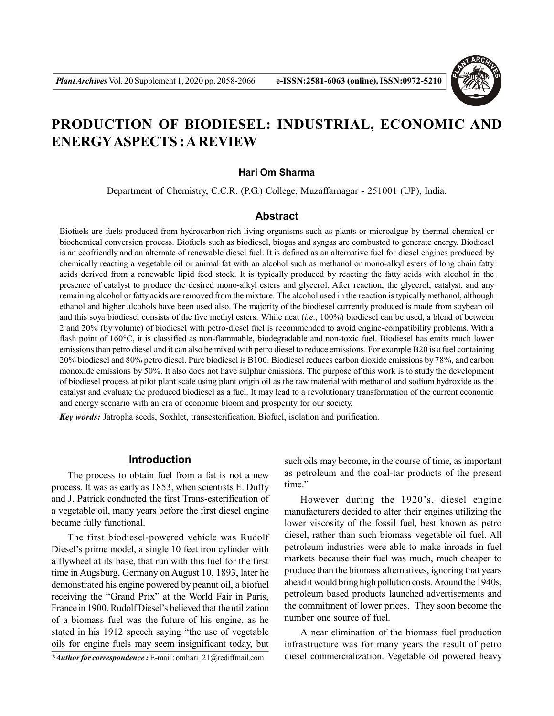

# **PRODUCTION OF BIODIESEL: INDUSTRIAL, ECONOMIC AND ENERGYASPECTS : A REVIEW**

#### **Hari Om Sharma**

Department of Chemistry, C.C.R. (P.G.) College, Muzaffarnagar - 251001 (UP), India.

## **Abstract**

Biofuels are fuels produced from hydrocarbon rich living organisms such as plants or microalgae by thermal chemical or biochemical conversion process. Biofuels such as biodiesel, biogas and syngas are combusted to generate energy. Biodiesel is an ecofriendly and an alternate of renewable diesel fuel. It is defined as an alternative fuel for diesel engines produced by chemically reacting a vegetable oil or animal fat with an alcohol such as methanol or mono-alkyl esters of long chain fatty acids derived from a renewable lipid feed stock. It is typically produced by reacting the fatty acids with alcohol in the presence of catalyst to produce the desired mono-alkyl esters and glycerol. After reaction, the glycerol, catalyst, and any remaining alcohol or fatty acids are removed from the mixture. The alcohol used in the reaction is typically methanol, although ethanol and higher alcohols have been used also. The majority of the biodiesel currently produced is made from soybean oil and this soya biodiesel consists of the five methyl esters. While neat (*i.e*., 100%) biodiesel can be used, a blend of between 2 and 20% (by volume) of biodiesel with petro-diesel fuel is recommended to avoid engine-compatibility problems. With a flash point of 160°C, it is classified as non-flammable, biodegradable and non-toxic fuel. Biodiesel has emits much lower emissions than petro diesel and it can also be mixed with petro diesel to reduce emissions. For example B20 is a fuel containing 20% biodiesel and 80% petro diesel. Pure biodiesel is B100. Biodiesel reduces carbon dioxide emissions by 78%, and carbon monoxide emissions by 50%. It also does not have sulphur emissions. The purpose of this work is to study the development of biodiesel process at pilot plant scale using plant origin oil as the raw material with methanol and sodium hydroxide as the catalyst and evaluate the produced biodiesel as a fuel. It may lead to a revolutionary transformation of the current economic and energy scenario with an era of economic bloom and prosperity for our society.

*Key words:* Jatropha seeds, Soxhlet, transesterification, Biofuel, isolation and purification.

## **Introduction**

The process to obtain fuel from a fat is not a new process. It was as early as 1853, when scientists E. Duffy and J. Patrick conducted the first Trans-esterification of a vegetable oil, many years before the first diesel engine became fully functional.

The first biodiesel-powered vehicle was Rudolf Diesel's prime model, a single 10 feet iron cylinder with a flywheel at its base, that run with this fuel for the first time in Augsburg, Germany on August 10, 1893, later he demonstrated his engine powered by peanut oil, a biofuel receiving the "Grand Prix" at the World Fair in Paris, France in 1900. Rudolf Diesel's believed that the utilization of a biomass fuel was the future of his engine, as he stated in his 1912 speech saying "the use of vegetable oils for engine fuels may seem insignificant today, but

*\*Author for correspondence :* E-mail : omhari\_21@rediffmail.com

such oils may become, in the course of time, as important as petroleum and the coal-tar products of the present time."

However during the 1920's, diesel engine manufacturers decided to alter their engines utilizing the lower viscosity of the fossil fuel, best known as petro diesel, rather than such biomass vegetable oil fuel. All petroleum industries were able to make inroads in fuel markets because their fuel was much, much cheaper to produce than the biomass alternatives, ignoring that years ahead it would bring high pollution costs. Around the 1940s, petroleum based products launched advertisements and the commitment of lower prices. They soon become the number one source of fuel.

A near elimination of the biomass fuel production infrastructure was for many years the result of petro diesel commercialization. Vegetable oil powered heavy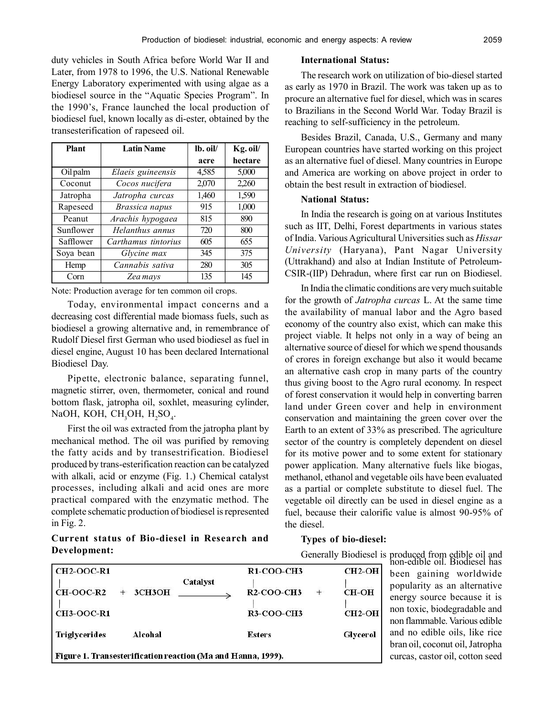duty vehicles in South Africa before World War II and Later, from 1978 to 1996, the U.S. National Renewable Energy Laboratory experimented with using algae as a biodiesel source in the "Aquatic Species Program". In the 1990's, France launched the local production of biodiesel fuel, known locally as di-ester, obtained by the transesterification of rapeseed oil.

| <b>Plant</b> | <b>Latin Name</b>   | lb. oil/ | Kg. oil/ |
|--------------|---------------------|----------|----------|
|              |                     | acre     | hectare  |
| Oil palm     | Elaeis guineensis   | 4,585    | 5,000    |
| Coconut      | Cocos nucifera      | 2,070    | 2,260    |
| Jatropha     | Jatropha curcas     | 1,460    | 1,590    |
| Rapeseed     | Brassica napus      | 915      | 1,000    |
| Peanut       | Arachis hypogaea    | 815      | 890      |
| Sunflower    | Helanthus annus     | 720      | 800      |
| Safflower    | Carthamus tintorius | 605      | 655      |
| Soya bean    | Glycine max         | 345      | 375      |
| Hemp         | Cannabis sativa     | 280      | 305      |
| Corn         | Zea mays            | 135      | 145      |

Note: Production average for ten common oil crops.

Today, environmental impact concerns and a decreasing cost differential made biomass fuels, such as biodiesel a growing alternative and, in remembrance of Rudolf Diesel first German who used biodiesel as fuel in diesel engine, August 10 has been declared International Biodiesel Day.

Pipette, electronic balance, separating funnel, magnetic stirrer, oven, thermometer, conical and round bottom flask, jatropha oil, soxhlet, measuring cylinder, NaOH, KOH, CH<sub>3</sub>OH, H<sub>2</sub>SO<sub>4</sub>.

First the oil was extracted from the jatropha plant by mechanical method. The oil was purified by removing the fatty acids and by transestrification. Biodiesel produced by trans-esterification reaction can be catalyzed with alkali, acid or enzyme (Fig. 1.) Chemical catalyst processes, including alkali and acid ones are more practical compared with the enzymatic method. The complete schematic production of biodiesel is represented in Fig. 2.

# **Current status of Bio-diesel in Research and Development:**

## **International Status:**

The research work on utilization of bio-diesel started as early as 1970 in Brazil. The work was taken up as to procure an alternative fuel for diesel, which was in scares to Brazilians in the Second World War. Today Brazil is reaching to self-sufficiency in the petroleum.

Besides Brazil, Canada, U.S., Germany and many European countries have started working on this project as an alternative fuel of diesel. Many countries in Europe and America are working on above project in order to obtain the best result in extraction of biodiesel.

## **National Status:**

In India the research is going on at various Institutes such as IIT, Delhi, Forest departments in various states of India. Various Agricultural Universities such as *Hissar University* (Haryana), Pant Nagar University (Uttrakhand) and also at Indian Institute of Petroleum-CSIR-(IIP) Dehradun, where first car run on Biodiesel.

In India the climatic conditions are very much suitable for the growth of *Jatropha curcas* L. At the same time the availability of manual labor and the Agro based economy of the country also exist, which can make this project viable. It helps not only in a way of being an alternative source of diesel for which we spend thousands of crores in foreign exchange but also it would became an alternative cash crop in many parts of the country thus giving boost to the Agro rural economy. In respect of forest conservation it would help in converting barren land under Green cover and help in environment conservation and maintaining the green cover over the Earth to an extent of 33% as prescribed. The agriculture sector of the country is completely dependent on diesel for its motive power and to some extent for stationary power application. Many alternative fuels like biogas, methanol, ethanol and vegetable oils have been evaluated as a partial or complete substitute to diesel fuel. The vegetable oil directly can be used in diesel engine as a fuel, because their calorific value is almost 90-95% of the diesel.

#### **Types of bio-diesel:**

Generally Biodiesel is produced from edible oil and

| $CH2-OOC-R1$                                                 |               |          | <b>R1-COO-CH3</b> | $CH2-OH$      |
|--------------------------------------------------------------|---------------|----------|-------------------|---------------|
| CH-OOC-R2                                                    | <b>3CH3OH</b> | Catalyst | $R2$ -COO-CH3     | <b>CH-OH</b>  |
| $CH3-OOC-R1$                                                 |               |          | R3-COO-CH3        | <b>CH2-OH</b> |
| <b>Triglycerides</b>                                         | Alcohal       |          | <b>Esters</b>     | Glycerol      |
| Figure 1. Transesterification reaction (Ma and Hanna, 1999). |               |          |                   |               |

non-edible oil. Biodiesel has been gaining worldwide popularity as an alternative energy source because it is non toxic, biodegradable and non flammable. Various edible and no edible oils, like rice bran oil, coconut oil, Jatropha curcas, castor oil, cotton seed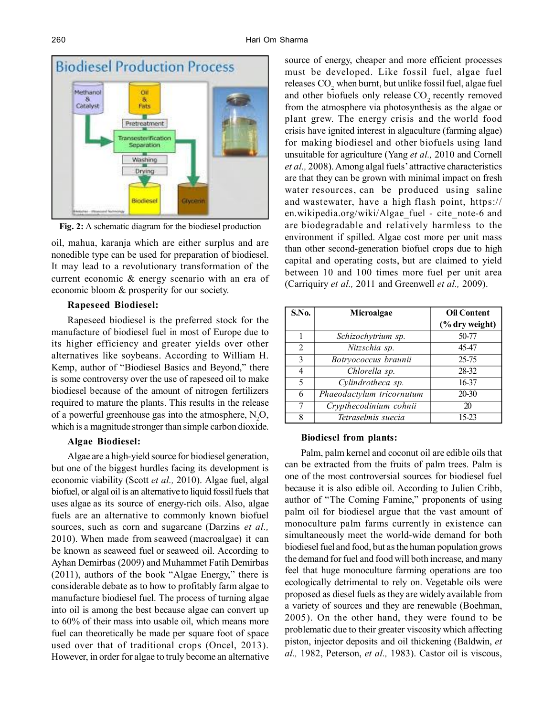

**Fig. 2:** A schematic diagram for the biodiesel production

oil, mahua, karanja which are either surplus and are nonedible type can be used for preparation of biodiesel. It may lead to a revolutionary transformation of the current economic & energy scenario with an era of economic bloom & prosperity for our society.

#### **Rapeseed Biodiesel:**

Rapeseed biodiesel is the preferred stock for the manufacture of biodiesel fuel in most of Europe due to its higher efficiency and greater yields over other alternatives like soybeans. According to William H. Kemp, author of "Biodiesel Basics and Beyond," there is some controversy over the use of rapeseed oil to make biodiesel because of the amount of nitrogen fertilizers required to mature the plants. This results in the release of a powerful greenhouse gas into the atmosphere,  $N<sub>2</sub>O$ , which is a magnitude stronger than simple carbon dioxide.

## **Algae Biodiesel:**

Algae are a high-yield source for biodiesel generation, but one of the biggest hurdles facing its development is economic viability (Scott *et al.,* 2010). Algae fuel, algal biofuel, or algal oil is an alternative to liquid fossil fuels that uses algae as its source of energy-rich oils. Also, algae fuels are an alternative to commonly known biofuel sources, such as corn and sugarcane (Darzins *et al.,* 2010). When made from seaweed (macroalgae) it can be known as seaweed fuel or seaweed oil. According to Ayhan Demirbas (2009) and Muhammet Fatih Demirbas (2011), authors of the book "Algae Energy," there is considerable debate as to how to profitably farm algae to manufacture biodiesel fuel. The process of turning algae into oil is among the best because algae can convert up to 60% of their mass into usable oil, which means more fuel can theoretically be made per square foot of space used over that of traditional crops (Oncel, 2013). However, in order for algae to truly become an alternative source of energy, cheaper and more efficient processes must be developed. Like fossil fuel, algae fuel releases CO<sub>2</sub> when burnt, but unlike fossil fuel, algae fuel and other biofuels only release  $CO_2$  recently removed from the atmosphere via photosynthesis as the algae or plant grew. The energy crisis and the world food crisis have ignited interest in algaculture (farming algae) for making biodiesel and other biofuels using land unsuitable for agriculture (Yang *et al.,* 2010 and Cornell *et al.,* 2008). Among algal fuels' attractive characteristics are that they can be grown with minimal impact on fresh water resources, can be produced using saline and wastewater, have a high flash point, https:// en.wikipedia.org/wiki/Algae fuel - cite note-6 and are biodegradable and relatively harmless to the environment if spilled. Algae cost more per unit mass than other second-generation biofuel crops due to high capital and operating costs, but are claimed to yield between 10 and 100 times more fuel per unit area (Carriquiry *et al.,* 2011 and Greenwell *et al.,* 2009).

| S.No.        | Microalgae                | <b>Oil Content</b>        |
|--------------|---------------------------|---------------------------|
|              |                           | $\frac{6}{6}$ dry weight) |
|              | Schizochytrium sp.        | 50-77                     |
| 2            | Nitzschia sp.             | 45-47                     |
| $\mathbf{3}$ | Botryococcus braunii      | 25-75                     |
| 4            | Chlorella sp.             | 28-32                     |
| 5            | Cylindrotheca sp.         | 16-37                     |
| 6            | Phaeodactylum tricornutum | 20-30                     |
|              | Crypthecodinium cohnii    | 20                        |
| 8            | Tetraselmis suecia        | 15-23                     |

#### **Biodiesel from plants:**

Palm, palm kernel and coconut oil are edible oils that can be extracted from the fruits of palm trees. Palm is one of the most controversial sources for biodiesel fuel because it is also edible oil. According to Julien Cribb, author of "The Coming Famine," proponents of using palm oil for biodiesel argue that the vast amount of monoculture palm farms currently in existence can simultaneously meet the world-wide demand for both biodiesel fuel and food, but as the human population grows the demand for fuel and food will both increase, and many feel that huge monoculture farming operations are too ecologically detrimental to rely on. Vegetable oils were proposed as diesel fuels as they are widely available from a variety of sources and they are renewable (Boehman, 2005). On the other hand, they were found to be problematic due to their greater viscosity which affecting piston, injector deposits and oil thickening (Baldwin, *et al.,* 1982, Peterson, *et al.,* 1983). Castor oil is viscous,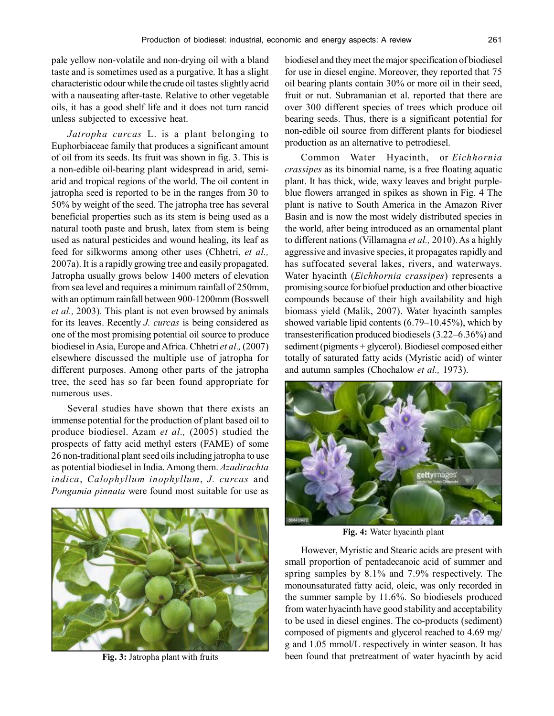pale yellow non-volatile and non-drying oil with a bland taste and is sometimes used as a purgative. It has a slight characteristic odour while the crude oil tastes slightly acrid with a nauseating after-taste. Relative to other vegetable oils, it has a good shelf life and it does not turn rancid unless subjected to excessive heat.

*Jatropha curcas* L. is a plant belonging to Euphorbiaceae family that produces a significant amount of oil from its seeds. Its fruit was shown in fig. 3. This is a non-edible oil-bearing plant widespread in arid, semiarid and tropical regions of the world. The oil content in jatropha seed is reported to be in the ranges from 30 to 50% by weight of the seed. The jatropha tree has several beneficial properties such as its stem is being used as a natural tooth paste and brush, latex from stem is being used as natural pesticides and wound healing, its leaf as feed for silkworms among other uses (Chhetri, *et al.,* 2007a). It is a rapidly growing tree and easily propagated. Jatropha usually grows below 1400 meters of elevation from sea level and requires a minimum rainfall of 250mm, with an optimum rainfall between 900-1200mm (Bosswell *et al.,* 2003). This plant is not even browsed by animals for its leaves. Recently *J. curcas* is being considered as one of the most promising potential oil source to produce biodiesel in Asia, Europe and Africa. Chhetri *et al.,* (2007) elsewhere discussed the multiple use of jatropha for different purposes. Among other parts of the jatropha tree, the seed has so far been found appropriate for numerous uses.

Several studies have shown that there exists an immense potential for the production of plant based oil to produce biodiesel. Azam *et al.,* (2005) studied the prospects of fatty acid methyl esters (FAME) of some 26 non-traditional plant seed oils including jatropha to use as potential biodiesel in India. Among them. *Azadirachta indica*, *Calophyllum inophyllum*, *J. curcas* and *Pongamia pinnata* were found most suitable for use as



**Fig. 3:** Jatropha plant with fruits

biodiesel and they meet the major specification of biodiesel for use in diesel engine. Moreover, they reported that 75 oil bearing plants contain 30% or more oil in their seed, fruit or nut. Subramanian et al. reported that there are over 300 different species of trees which produce oil bearing seeds. Thus, there is a significant potential for non-edible oil source from different plants for biodiesel production as an alternative to petrodiesel.

Common Water Hyacinth, or *Eichhornia crassipes* as its binomial name, is a free floating aquatic plant. It has thick, wide, waxy leaves and bright purpleblue flowers arranged in spikes as shown in Fig. 4 The plant is native to South America in the Amazon River Basin and is now the most widely distributed species in the world, after being introduced as an ornamental plant to different nations (Villamagna *et al.,* 2010). As a highly aggressive and invasive species, it propagates rapidly and has suffocated several lakes, rivers, and waterways. Water hyacinth (*Eichhornia crassipes*) represents a promising source for biofuel production and other bioactive compounds because of their high availability and high biomass yield (Malik, 2007). Water hyacinth samples showed variable lipid contents (6.79–10.45%), which by transesterification produced biodiesels (3.22–6.36%) and sediment (pigments + glycerol). Biodiesel composed either totally of saturated fatty acids (Myristic acid) of winter and autumn samples (Chochalow *et al.,* 1973).



**Fig. 4:** Water hyacinth plant

However, Myristic and Stearic acids are present with small proportion of pentadecanoic acid of summer and spring samples by 8.1% and 7.9% respectively. The monounsaturated fatty acid, oleic, was only recorded in the summer sample by 11.6%. So biodiesels produced from water hyacinth have good stability and acceptability to be used in diesel engines. The co-products (sediment) composed of pigments and glycerol reached to 4.69 mg/ g and 1.05 mmol/L respectively in winter season. It has been found that pretreatment of water hyacinth by acid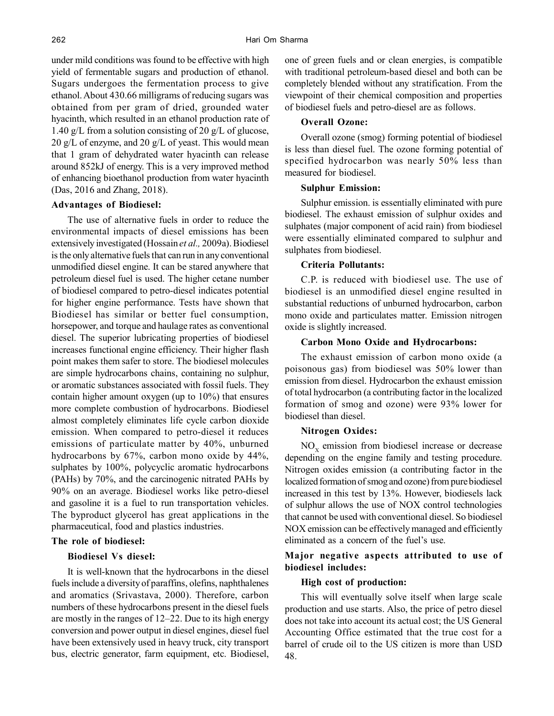under mild conditions was found to be effective with high yield of fermentable sugars and production of ethanol. Sugars undergoes the fermentation process to give ethanol. About 430.66 milligrams of reducing sugars was obtained from per gram of dried, grounded water hyacinth, which resulted in an ethanol production rate of 1.40 g/L from a solution consisting of 20 g/L of glucose,  $20 \text{ g/L}$  of enzyme, and  $20 \text{ g/L}$  of yeast. This would mean that 1 gram of dehydrated water hyacinth can release around 852kJ of energy. This is a very improved method of enhancing bioethanol production from water hyacinth (Das, 2016 and Zhang, 2018).

## **Advantages of Biodiesel:**

The use of alternative fuels in order to reduce the environmental impacts of diesel emissions has been extensively investigated (Hossain *et al.,* 2009a). Biodiesel is the only alternative fuels that can run in any conventional unmodified diesel engine. It can be stared anywhere that petroleum diesel fuel is used. The higher cetane number of biodiesel compared to petro-diesel indicates potential for higher engine performance. Tests have shown that Biodiesel has similar or better fuel consumption, horsepower, and torque and haulage rates as conventional diesel. The superior lubricating properties of biodiesel increases functional engine efficiency. Their higher flash point makes them safer to store. The biodiesel molecules are simple hydrocarbons chains, containing no sulphur, or aromatic substances associated with fossil fuels. They contain higher amount oxygen (up to 10%) that ensures more complete combustion of hydrocarbons. Biodiesel almost completely eliminates life cycle carbon dioxide emission. When compared to petro-diesel it reduces emissions of particulate matter by 40%, unburned hydrocarbons by 67%, carbon mono oxide by 44%, sulphates by 100%, polycyclic aromatic hydrocarbons (PAHs) by 70%, and the carcinogenic nitrated PAHs by 90% on an average. Biodiesel works like petro-diesel and gasoline it is a fuel to run transportation vehicles. The byproduct glycerol has great applications in the pharmaceutical, food and plastics industries.

#### **The role of biodiesel:**

## **Biodiesel Vs diesel:**

It is well-known that the hydrocarbons in the diesel fuels include a diversity of paraffins, olefins, naphthalenes and aromatics (Srivastava, 2000). Therefore, carbon numbers of these hydrocarbons present in the diesel fuels are mostly in the ranges of 12–22. Due to its high energy conversion and power output in diesel engines, diesel fuel have been extensively used in heavy truck, city transport bus, electric generator, farm equipment, etc. Biodiesel, one of green fuels and or clean energies, is compatible with traditional petroleum-based diesel and both can be completely blended without any stratification. From the viewpoint of their chemical composition and properties of biodiesel fuels and petro-diesel are as follows.

#### **Overall Ozone:**

Overall ozone (smog) forming potential of biodiesel is less than diesel fuel. The ozone forming potential of specified hydrocarbon was nearly 50% less than measured for biodiesel.

#### **Sulphur Emission:**

Sulphur emission. is essentially eliminated with pure biodiesel. The exhaust emission of sulphur oxides and sulphates (major component of acid rain) from biodiesel were essentially eliminated compared to sulphur and sulphates from biodiesel.

#### **Criteria Pollutants:**

C.P. is reduced with biodiesel use. The use of biodiesel is an unmodified diesel engine resulted in substantial reductions of unburned hydrocarbon, carbon mono oxide and particulates matter. Emission nitrogen oxide is slightly increased.

## **Carbon Mono Oxide and Hydrocarbons:**

The exhaust emission of carbon mono oxide (a poisonous gas) from biodiesel was 50% lower than emission from diesel. Hydrocarbon the exhaust emission of total hydrocarbon (a contributing factor in the localized formation of smog and ozone) were 93% lower for biodiesel than diesel.

#### **Nitrogen Oxides:**

 $NO<sub>x</sub>$  emission from biodiesel increase or decrease depending on the engine family and testing procedure. Nitrogen oxides emission (a contributing factor in the localized formation of smog and ozone) from pure biodiesel increased in this test by 13%. However, biodiesels lack of sulphur allows the use of NOX control technologies that cannot be used with conventional diesel. So biodiesel NOX emission can be effectively managed and efficiently eliminated as a concern of the fuel's use.

## **Major negative aspects attributed to use of biodiesel includes:**

#### **High cost of production:**

This will eventually solve itself when large scale production and use starts. Also, the price of petro diesel does not take into account its actual cost; the US General Accounting Office estimated that the true cost for a barrel of crude oil to the US citizen is more than USD 48.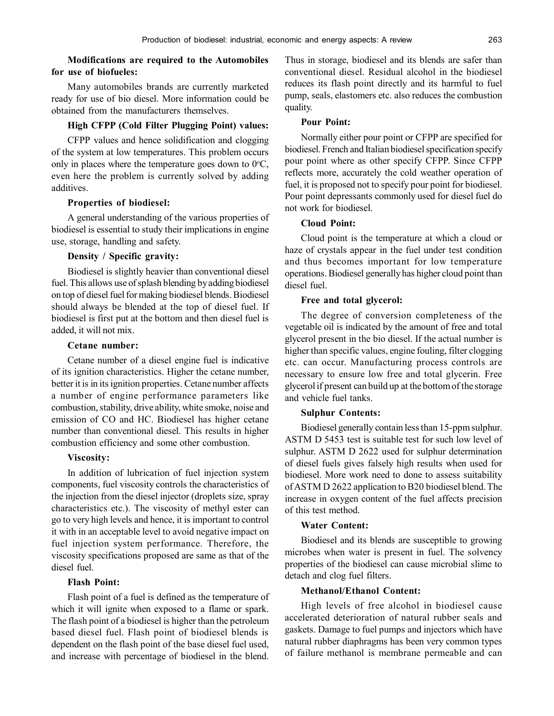## **Modifications are required to the Automobiles for use of biofueles:**

Many automobiles brands are currently marketed ready for use of bio diesel. More information could be obtained from the manufacturers themselves.

## **High CFPP (Cold Filter Plugging Point) values:**

CFPP values and hence solidification and clogging of the system at low temperatures. This problem occurs only in places where the temperature goes down to  $0^{\circ}C$ , even here the problem is currently solved by adding additives.

## **Properties of biodiesel:**

A general understanding of the various properties of biodiesel is essential to study their implications in engine use, storage, handling and safety.

## **Density / Specific gravity:**

Biodiesel is slightly heavier than conventional diesel fuel. This allows use of splash blending by adding biodiesel on top of diesel fuel for making biodiesel blends. Biodiesel should always be blended at the top of diesel fuel. If biodiesel is first put at the bottom and then diesel fuel is added, it will not mix.

#### **Cetane number:**

Cetane number of a diesel engine fuel is indicative of its ignition characteristics. Higher the cetane number, better it is in its ignition properties. Cetane number affects a number of engine performance parameters like combustion, stability, drive ability, white smoke, noise and emission of CO and HC. Biodiesel has higher cetane number than conventional diesel. This results in higher combustion efficiency and some other combustion.

#### **Viscosity:**

In addition of lubrication of fuel injection system components, fuel viscosity controls the characteristics of the injection from the diesel injector (droplets size, spray characteristics etc.). The viscosity of methyl ester can go to very high levels and hence, it is important to control it with in an acceptable level to avoid negative impact on fuel injection system performance. Therefore, the viscosity specifications proposed are same as that of the diesel fuel.

## **Flash Point:**

Flash point of a fuel is defined as the temperature of which it will ignite when exposed to a flame or spark. The flash point of a biodiesel is higher than the petroleum based diesel fuel. Flash point of biodiesel blends is dependent on the flash point of the base diesel fuel used, and increase with percentage of biodiesel in the blend.

Thus in storage, biodiesel and its blends are safer than conventional diesel. Residual alcohol in the biodiesel reduces its flash point directly and its harmful to fuel pump, seals, elastomers etc. also reduces the combustion quality.

## **Pour Point:**

Normally either pour point or CFPP are specified for biodiesel. French and Italian biodiesel specification specify pour point where as other specify CFPP. Since CFPP reflects more, accurately the cold weather operation of fuel, it is proposed not to specify pour point for biodiesel. Pour point depressants commonly used for diesel fuel do not work for biodiesel.

# **Cloud Point:**

Cloud point is the temperature at which a cloud or haze of crystals appear in the fuel under test condition and thus becomes important for low temperature operations. Biodiesel generally has higher cloud point than diesel fuel.

## **Free and total glycerol:**

The degree of conversion completeness of the vegetable oil is indicated by the amount of free and total glycerol present in the bio diesel. If the actual number is higher than specific values, engine fouling, filter clogging etc. can occur. Manufacturing process controls are necessary to ensure low free and total glycerin. Free glycerol if present can build up at the bottom of the storage and vehicle fuel tanks.

## **Sulphur Contents:**

Biodiesel generally contain less than 15-ppm sulphur. ASTM D 5453 test is suitable test for such low level of sulphur. ASTM D 2622 used for sulphur determination of diesel fuels gives falsely high results when used for biodiesel. More work need to done to assess suitability of ASTM D 2622 application to B20 biodiesel blend. The increase in oxygen content of the fuel affects precision of this test method.

#### **Water Content:**

Biodiesel and its blends are susceptible to growing microbes when water is present in fuel. The solvency properties of the biodiesel can cause microbial slime to detach and clog fuel filters.

## **Methanol/Ethanol Content:**

High levels of free alcohol in biodiesel cause accelerated deterioration of natural rubber seals and gaskets. Damage to fuel pumps and injectors which have natural rubber diaphragms has been very common types of failure methanol is membrane permeable and can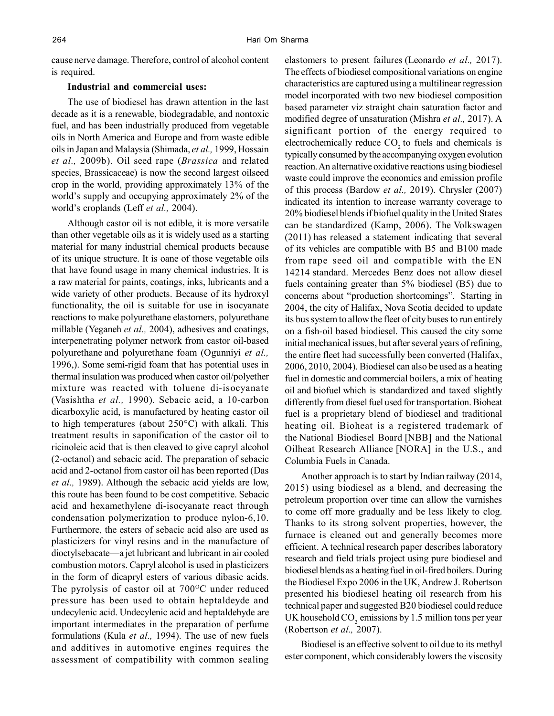cause nerve damage. Therefore, control of alcohol content is required.

#### **Industrial and commercial uses:**

The use of biodiesel has drawn attention in the last decade as it is a renewable, biodegradable, and nontoxic fuel, and has been industrially produced from vegetable oils in North America and Europe and from waste edible oils in Japan and Malaysia (Shimada, *et al.,* 1999, Hossain *et al.,* 2009b). Oil seed rape (*Brassica* and related species, Brassicaceae) is now the second largest oilseed crop in the world, providing approximately 13% of the world's supply and occupying approximately 2% of the world's croplands (Leff *et al.,* 2004).

Although castor oil is not edible, it is more versatile than other vegetable oils as it is widely used as a starting material for many industrial chemical products because of its unique structure. It is oane of those vegetable oils that have found usage in many chemical industries. It is a raw material for paints, coatings, inks, lubricants and a wide variety of other products. Because of its hydroxyl functionality, the oil is suitable for use in isocyanate reactions to make polyurethane elastomers, polyurethane millable (Yeganeh *et al.,* 2004), adhesives and coatings, interpenetrating polymer network from castor oil-based polyurethane and polyurethane foam (Ogunniyi *et al.,* 1996,). Some semi-rigid foam that has potential uses in thermal insulation was produced when castor oil/polyether mixture was reacted with toluene di-isocyanate (Vasishtha *et al.,* 1990). Sebacic acid, a 10-carbon dicarboxylic acid, is manufactured by heating castor oil to high temperatures (about 250°C) with alkali. This treatment results in saponification of the castor oil to ricinoleic acid that is then cleaved to give capryl alcohol (2-octanol) and sebacic acid. The preparation of sebacic acid and 2-octanol from castor oil has been reported (Das *et al.,* 1989). Although the sebacic acid yields are low, this route has been found to be cost competitive. Sebacic acid and hexamethylene di-isocyanate react through condensation polymerization to produce nylon-6,10. Furthermore, the esters of sebacic acid also are used as plasticizers for vinyl resins and in the manufacture of dioctylsebacate—a jet lubricant and lubricant in air cooled combustion motors. Capryl alcohol is used in plasticizers in the form of dicapryl esters of various dibasic acids. The pyrolysis of castor oil at  $700^{\circ}$ C under reduced pressure has been used to obtain heptaldeyde and undecylenic acid. Undecylenic acid and heptaldehyde are important intermediates in the preparation of perfume formulations (Kula *et al.,* 1994). The use of new fuels and additives in automotive engines requires the assessment of compatibility with common sealing elastomers to present failures (Leonardo *et al.,* 2017). The effects of biodiesel compositional variations on engine characteristics are captured using a multilinear regression model incorporated with two new biodiesel composition based parameter viz straight chain saturation factor and modified degree of unsaturation (Mishra *et al.,* 2017). A significant portion of the energy required to electrochemically reduce  $CO<sub>2</sub>$  to fuels and chemicals is typically consumed by the accompanying oxygen evolution reaction. An alternative oxidative reactions using biodiesel waste could improve the economics and emission profile of this process (Bardow *et al.,* 2019). Chrysler (2007) indicated its intention to increase warranty coverage to 20% biodiesel blends if biofuel quality in the United States can be standardized (Kamp, 2006). The Volkswagen (2011) has released a statement indicating that several of its vehicles are compatible with B5 and B100 made from rape seed oil and compatible with the EN 14214 standard. Mercedes Benz does not allow diesel fuels containing greater than 5% biodiesel (B5) due to concerns about "production shortcomings". Starting in 2004, the city of Halifax, Nova Scotia decided to update its bus system to allow the fleet of city buses to run entirely on a fish-oil based biodiesel. This caused the city some initial mechanical issues, but after several years of refining, the entire fleet had successfully been converted (Halifax, 2006, 2010, 2004). Biodiesel can also be used as a heating fuel in domestic and commercial boilers, a mix of heating oil and biofuel which is standardized and taxed slightly differently from diesel fuel used for transportation. Bioheat fuel is a proprietary blend of biodiesel and traditional heating oil. Bioheat is a registered trademark of the National Biodiesel Board [NBB] and the National Oilheat Research Alliance [NORA] in the U.S., and Columbia Fuels in Canada.

Another approach is to start by Indian railway (2014, 2015) using biodiesel as a blend, and decreasing the petroleum proportion over time can allow the varnishes to come off more gradually and be less likely to clog. Thanks to its strong solvent properties, however, the furnace is cleaned out and generally becomes more efficient. A technical research paper describes laboratory research and field trials project using pure biodiesel and biodiesel blends as a heating fuel in oil-fired boilers. During the Biodiesel Expo 2006 in the UK, Andrew J. Robertson presented his biodiesel heating oil research from his technical paper and suggested B20 biodiesel could reduce UK household  $CO_2$  emissions by 1.5 million tons per year (Robertson *et al.,* 2007).

Biodiesel is an effective solvent to oil due to its methyl ester component, which considerably lowers the viscosity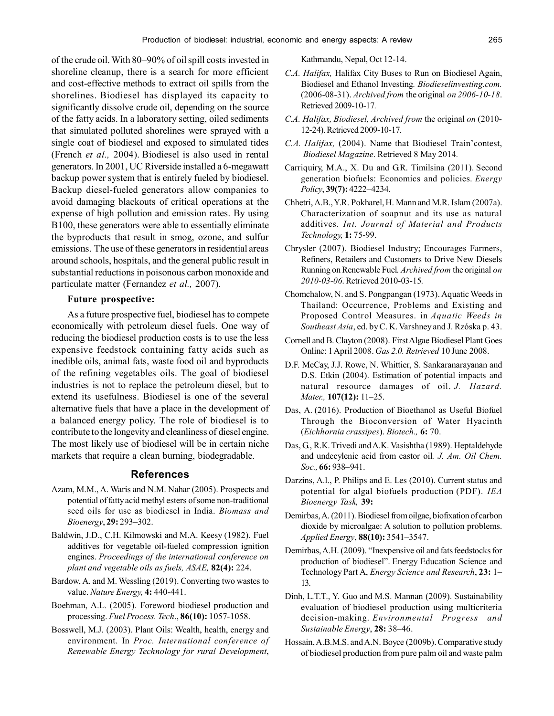of the crude oil. With 80–90% of oil spill costs invested in shoreline cleanup, there is a search for more efficient and cost-effective methods to extract oil spills from the shorelines. Biodiesel has displayed its capacity to significantly dissolve crude oil, depending on the source of the fatty acids. In a laboratory setting, oiled sediments that simulated polluted shorelines were sprayed with a single coat of biodiesel and exposed to simulated tides (French *et al.,* 2004). Biodiesel is also used in rental generators. In 2001, UC Riverside installed a 6-megawatt backup power system that is entirely fueled by biodiesel. Backup diesel-fueled generators allow companies to avoid damaging blackouts of critical operations at the expense of high pollution and emission rates. By using B100, these generators were able to essentially eliminate the byproducts that result in smog, ozone, and sulfur emissions. The use of these generators in residential areas around schools, hospitals, and the general public result in substantial reductions in poisonous carbon monoxide and particulate matter (Fernandez *et al.,* 2007).

### **Future prospective:**

As a future prospective fuel, biodiesel has to compete economically with petroleum diesel fuels. One way of reducing the biodiesel production costs is to use the less expensive feedstock containing fatty acids such as inedible oils, animal fats, waste food oil and byproducts of the refining vegetables oils. The goal of biodiesel industries is not to replace the petroleum diesel, but to extend its usefulness. Biodiesel is one of the several alternative fuels that have a place in the development of a balanced energy policy. The role of biodiesel is to contribute to the longevity and cleanliness of diesel engine. The most likely use of biodiesel will be in certain niche markets that require a clean burning, biodegradable.

#### **References**

- Azam, M.M., A. Waris and N.M. Nahar (2005). Prospects and potential of fatty acid methyl esters of some non-traditional seed oils for use as biodiesel in India. *Biomass and Bioenergy*, **29:** 293–302.
- Baldwin, J.D., C.H. Kilmowski and M.A. Keesy (1982). Fuel additives for vegetable oil-fueled compression ignition engines. *Proceedings of the international conference on plant and vegetable oils as fuels, ASAE,* **82(4):** 224.
- Bardow, A. and M. Wessling (2019). Converting two wastes to value. *Nature Energy,* **4:** 440-441.
- Boehman, A.L. (2005). Foreword biodiesel production and processing. *Fuel Process. Tech*., **86(10):** 1057-1058.
- Bosswell, M.J. (2003). Plant Oils: Wealth, health, energy and environment. In *Proc. International conference of Renewable Energy Technology for rural Development*,

Kathmandu, Nepal, Oct 12-14.

- *C.A. Halifax,* Halifax City Buses to Run on Biodiesel Again, Biodiesel and Ethanol Investing*. Biodieselinvesting.com.* (2006-08-31). *Archived from* the original *on 2006-10-18*. Retrieved 2009-10-17*.*
- *C.A. Halifax, Biodiesel, Archived from* the original *on* (2010- 12-24). Retrieved 2009-10-17*.*
- *C.A. Halifax,* (2004). Name that Biodiesel Train'contest,  *Biodiesel Magazine*. Retrieved 8 May 2014*.*
- Carriquiry, M.A., X. Du and G.R. Timilsina (2011). Second generation biofuels: Economics and policies. *Energy Policy*, **39(7):** 4222–4234.
- Chhetri, A.B., Y.R. Pokharel, H. Mann and M.R. Islam (2007a). Characterization of soapnut and its use as natural additives. *Int. Journal of Material and Products Technology,* **1:** 75-99.
- Chrysler (2007). Biodiesel Industry; Encourages Farmers, Refiners, Retailers and Customers to Drive New Diesels Running on Renewable Fuel*. Archived from* the original *on 2010-03-06*. Retrieved 2010-03-15*.*
- Chomchalow, N. and S. Pongpangan (1973). Aquatic Weeds in Thailand: Occurrence, Problems and Existing and Proposed Control Measures. in *Aquatic Weeds in Southeast Asia*, ed. by C. K. Varshney and J. Rzóska p. 43.
- Cornell and B. Clayton (2008). First Algae Biodiesel Plant Goes Online: 1 April 2008. *Gas 2.0. Retrieved* 10 June 2008.
- D.F. McCay, J.J. Rowe, N. Whittier, S. Sankaranarayanan and D.S. Etkin (2004). Estimation of potential impacts and natural resource damages of oil. *J. Hazard. Mater.,* **107(12):** 11–25.
- Das, A. (2016). Production of Bioethanol as Useful Biofuel Through the Bioconversion of Water Hyacinth (*Eichhornia crassipes*). *Biotech.,* **6:** 70.
- Das, G., R.K. Trivedi and A.K. Vasishtha (1989). Heptaldehyde and undecylenic acid from castor oil*. J. Am. Oil Chem. Soc.,* **66:** 938–941.
- Darzins, A.l., P. Philips and E. Les (2010). Current status and potential for algal biofuels production (PDF). *IEA Bioenergy Task,* **39:**
- Demirbas, A. (2011). Biodiesel from oilgae, biofixation of carbon dioxide by microalgae: A solution to pollution problems. *Applied Energy*, **88(10):** 3541–3547.
- Demirbas, A.H. (2009). "Inexpensive oil and fats feedstocks for production of biodiesel". Energy Education Science and Technology Part A, *Energy Science and Research*, **23:** 1– 13.
- Dinh, L.T.T., Y. Guo and M.S. Mannan (2009). Sustainability evaluation of biodiesel production using multicriteria decision-making. *Environmental Progress and Sustainable Energy*, **28:** 38–46.
- Hossain, A.B.M.S. and A.N. Boyce (2009b). Comparative study of biodiesel production from pure palm oil and waste palm